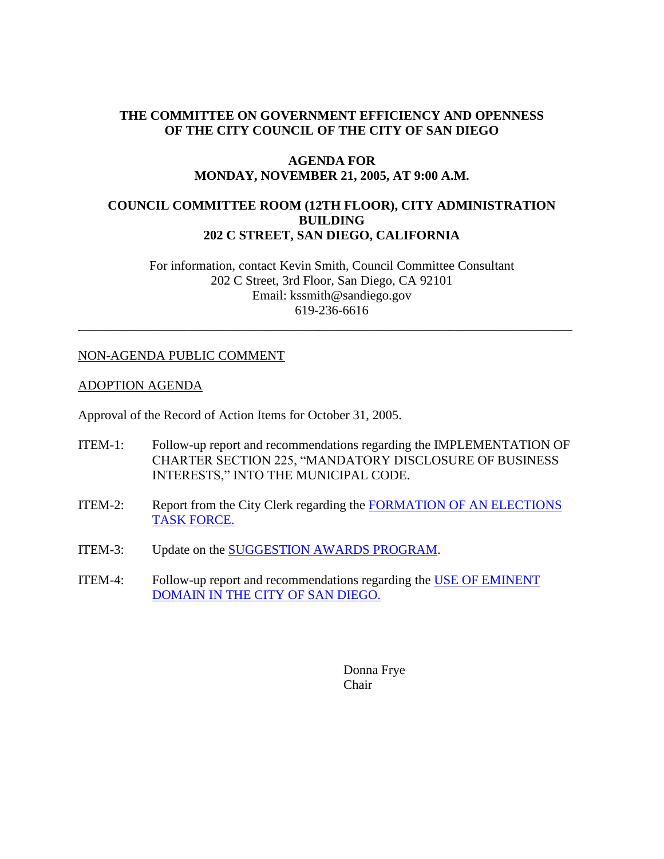# **THE COMMITTEE ON GOVERNMENT EFFICIENCY AND OPENNESS OF THE CITY COUNCIL OF THE CITY OF SAN DIEGO**

## **AGENDA FOR MONDAY, NOVEMBER 21, 2005, AT 9:00 A.M.**

## **COUNCIL COMMITTEE ROOM (12TH FLOOR), CITY ADMINISTRATION BUILDING 202 C STREET, SAN DIEGO, CALIFORNIA**

For information, contact Kevin Smith, Council Committee Consultant 202 C Street, 3rd Floor, San Diego, CA 92101 Email: kssmith@sandiego.gov 619-236-6616

\_\_\_\_\_\_\_\_\_\_\_\_\_\_\_\_\_\_\_\_\_\_\_\_\_\_\_\_\_\_\_\_\_\_\_\_\_\_\_\_\_\_\_\_\_\_\_\_\_\_\_\_\_\_\_\_\_\_\_\_\_\_\_\_\_\_\_\_\_\_\_\_\_\_\_\_

## NON-AGENDA PUBLIC COMMENT

#### ADOPTION AGENDA

Approval of the Record of Action Items for October 31, 2005.

- ITEM-1: Follow-up report and recommendations regarding the IMPLEMENTATION OF CHARTER SECTION 225, "MANDATORY DISCLOSURE OF BUSINESS INTERESTS," INTO THE MUNICIPAL CODE.
- ITEM-2: Report from the City Clerk regarding the FORMATION OF AN ELECTIONS TASK FORCE.
- ITEM-3: Update on the SUGGESTION AWARDS PROGRAM.
- ITEM-4: Follow-up report and recommendations regarding the USE OF EMINENT DOMAIN IN THE CITY OF SAN DIEGO.

Donna Frye Chair